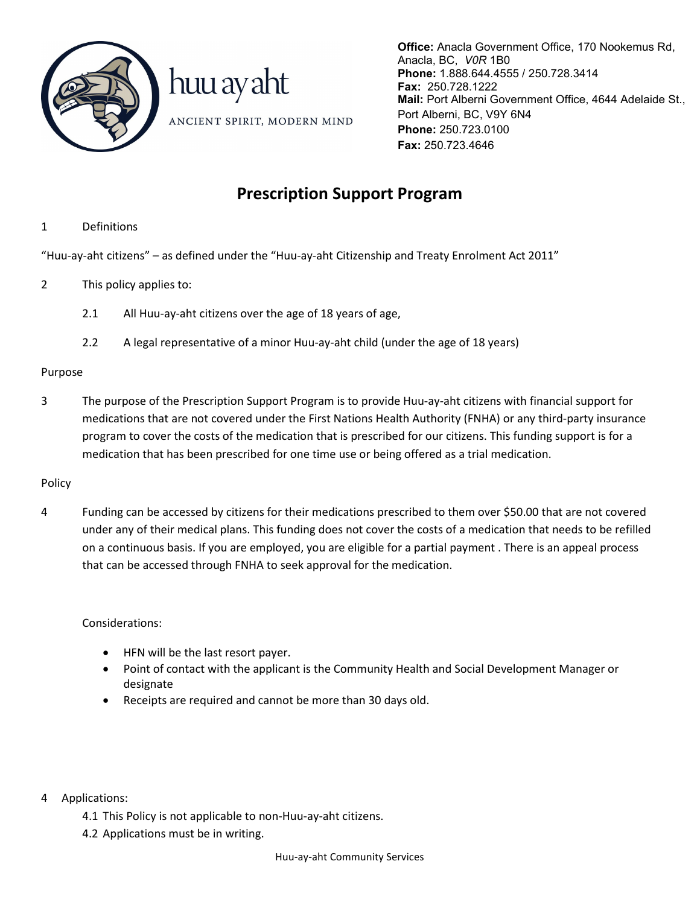

**Office:** Anacla Government Office, 170 Nookemus Rd, Anacla, BC, *V0R* 1B0 **Phone:** 1.888.644.4555 / 250.728.3414 **Fax:** 250.728.1222 **Mail:** Port Alberni Government Office, 4644 Adelaide St., Port Alberni, BC, V9Y 6N4 **Phone:** 250.723.0100 **Fax:** 250.723.4646

### **Prescription Support Program**

#### 1 Definitions

"Huu-ay-aht citizens" – as defined under the "Huu-ay-aht Citizenship and Treaty Enrolment Act 2011"

- 2 This policy applies to:
	- 2.1 All Huu-ay-aht citizens over the age of 18 years of age,
	- 2.2 A legal representative of a minor Huu-ay-aht child (under the age of 18 years)

#### Purpose

3 The purpose of the Prescription Support Program is to provide Huu-ay-aht citizens with financial support for medications that are not covered under the First Nations Health Authority (FNHA) or any third-party insurance program to cover the costs of the medication that is prescribed for our citizens. This funding support is for a medication that has been prescribed for one time use or being offered as a trial medication.

#### Policy

4 Funding can be accessed by citizens for their medications prescribed to them over \$50.00 that are not covered under any of their medical plans. This funding does not cover the costs of a medication that needs to be refilled on a continuous basis. If you are employed, you are eligible for a partial payment . There is an appeal process that can be accessed through FNHA to seek approval for the medication.

Considerations:

- HFN will be the last resort payer.
- Point of contact with the applicant is the Community Health and Social Development Manager or designate
- Receipts are required and cannot be more than 30 days old.
- 4 Applications:
	- 4.1 This Policy is not applicable to non-Huu-ay-aht citizens.
	- 4.2 Applications must be in writing.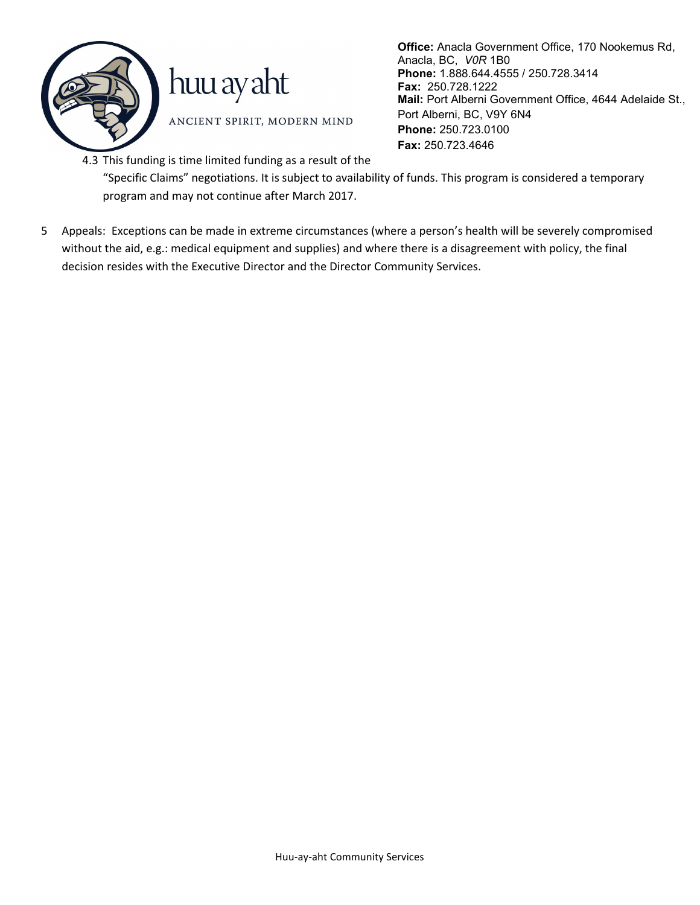

# huu ay aht

ANCIENT SPIRIT, MODERN MIND

**Office:** Anacla Government Office, 170 Nookemus Rd, Anacla, BC, *V0R* 1B0 **Phone:** 1.888.644.4555 / 250.728.3414 **Fax:** 250.728.1222 **Mail:** Port Alberni Government Office, 4644 Adelaide St., Port Alberni, BC, V9Y 6N4 **Phone:** 250.723.0100 **Fax:** 250.723.4646

4.3 This funding is time limited funding as a result of the

"Specific Claims" negotiations. It is subject to availability of funds. This program is considered a temporary program and may not continue after March 2017.

5 Appeals: Exceptions can be made in extreme circumstances (where a person's health will be severely compromised without the aid, e.g.: medical equipment and supplies) and where there is a disagreement with policy, the final decision resides with the Executive Director and the Director Community Services.